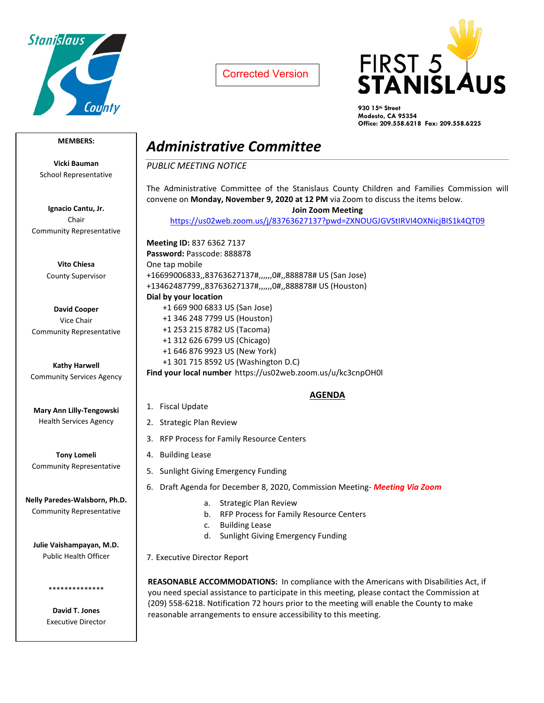

Corrected Version



**930 15th Street Modesto, CA 95354 Office: 209.558.6218 Fax: 209.558.6225**

### **MEMBERS:**

**Vicki Bauman** School Representative

**Ignacio Cantu, Jr.** Chair Community Representative

> **Vito Chiesa** County Supervisor

**David Cooper** Vice Chair Community Representative

**Kathy Harwell** Community Services Agency

**Mary Ann Lilly-Tengowski** Health Services Agency

**Tony Lomeli** Community Representative

**Nelly Paredes-Walsborn, Ph.D.** Community Representative

**Julie Vaishampayan, M.D.** Public Health Officer

> **David T. Jones** Executive Director

\*\*\*\*\*\*\*\*\*\*\*\*\*\*

# *Administrative Committee*

*PUBLIC MEETING NOTICE*

The Administrative Committee of the Stanislaus County Children and Families Commission will convene on **Monday, November 9, 2020 at 12 PM** via Zoom to discuss the items below.

**Join Zoom Meeting**

<https://us02web.zoom.us/j/83763627137?pwd=ZXNOUGJGVStIRVI4OXNicjBIS1k4QT09>

**Meeting ID:** 837 6362 7137 **Password:** Passcode: 888878 One tap mobile +16699006833,,83763627137#,,,,,,0#,,888878# US (San Jose) +13462487799,,83763627137#,,,,,,0#,,888878# US (Houston) **Dial by your location** +1 669 900 6833 US (San Jose) +1 346 248 7799 US (Houston) +1 253 215 8782 US (Tacoma) +1 312 626 6799 US (Chicago) +1 646 876 9923 US (New York) +1 301 715 8592 US (Washington D.C) **Find your local number** https://us02web.zoom.us/u/kc3cnpOH0l

### **AGENDA**

- 1. Fiscal Update
- 2. Strategic Plan Review
- 3. RFP Process for Family Resource Centers
- 4. Building Lease
- 5. Sunlight Giving Emergency Funding
- 6. Draft Agenda for December 8, 2020, Commission Meeting- *Meeting Via Zoom*
	- a. Strategic Plan Review
	- b. RFP Process for Family Resource Centers
	- c. Building Lease
	- d. Sunlight Giving Emergency Funding

7. Executive Director Report

**REASONABLE ACCOMMODATIONS:** In compliance with the Americans with Disabilities Act, if you need special assistance to participate in this meeting, please contact the Commission at (209) 558-6218. Notification 72 hours prior to the meeting will enable the County to make reasonable arrangements to ensure accessibility to this meeting.